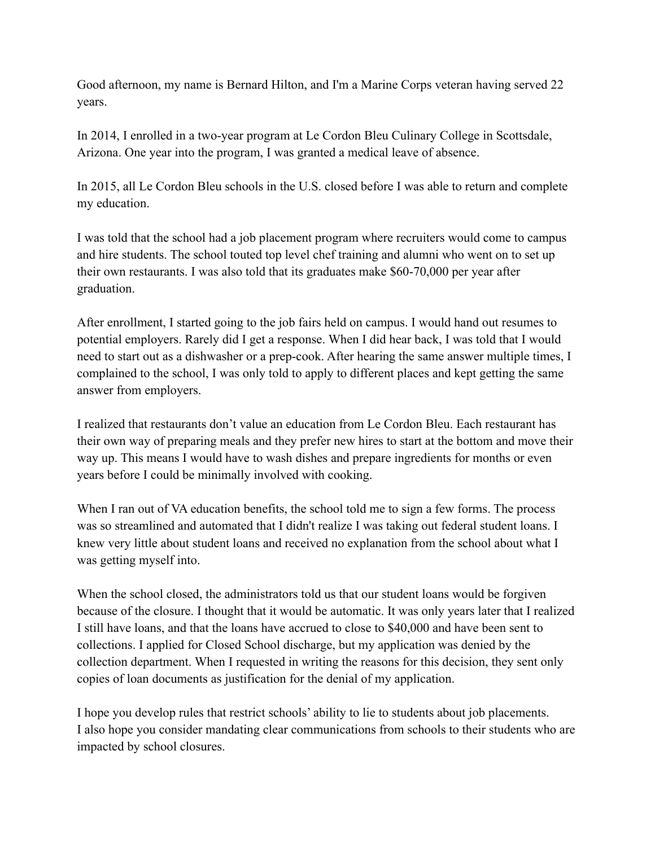Good afternoon, my name is Bernard Hilton, and I'm a Marine Corps veteran having served 22 years.

In 2014, I enrolled in a two-year program at Le Cordon Bleu Culinary College in Scottsdale, Arizona. One year into the program, I was granted a medical leave of absence.

In 2015, all Le Cordon Bleu schools in the U.S. closed before I was able to return and complete my education.

I was told that the school had a job placement program where recruiters would come to campus and hire students. The school touted top level chef training and alumni who went on to set up their own restaurants. I was also told that its graduates make \$60-70,000 per year after graduation.

After enrollment, I started going to the job fairs held on campus. I would hand out resumes to potential employers. Rarely did I get a response. When I did hear back, I was told that I would need to start out as a dishwasher or a prep-cook. After hearing the same answer multiple times, I complained to the school, I was only told to apply to different places and kept getting the same answer from employers.

I realized that restaurants don't value an education from Le Cordon Bleu. Each restaurant has their own way of preparing meals and they prefer new hires to start at the bottom and move their way up. This means I would have to wash dishes and prepare ingredients for months or even years before I could be minimally involved with cooking.

When I ran out of VA education benefits, the school told me to sign a few forms. The process was so streamlined and automated that I didn't realize I was taking out federal student loans. I knew very little about student loans and received no explanation from the school about what I was getting myself into.

When the school closed, the administrators told us that our student loans would be forgiven because of the closure. I thought that it would be automatic. It was only years later that I realized I still have loans, and that the loans have accrued to close to \$40,000 and have been sent to collections. I applied for Closed School discharge, but my application was denied by the collection department. When I requested in writing the reasons for this decision, they sent only copies of loan documents as justification for the denial of my application.

I hope you develop rules that restrict schools' ability to lie to students about job placements. I also hope you consider mandating clear communications from schools to their students who are impacted by school closures.